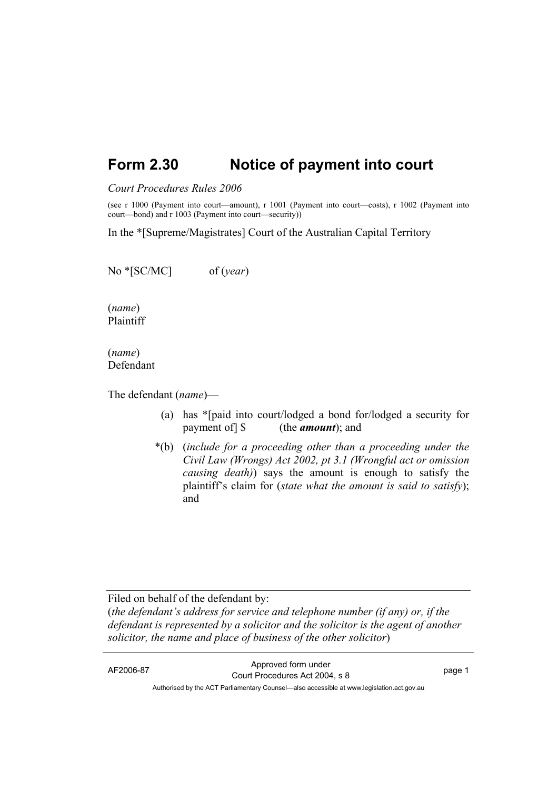## **Form 2.30 Notice of payment into court**

## *Court Procedures Rules 2006*

(see r 1000 (Payment into court—amount), r 1001 (Payment into court—costs), r 1002 (Payment into court—bond) and r 1003 (Payment into court—security))

In the \*[Supreme/Magistrates] Court of the Australian Capital Territory

No \*[SC/MC] of (*year*)

(*name*) Plaintiff

(*name*) Defendant

The defendant (*name*)—

- (a) has \*[paid into court/lodged a bond for/lodged a security for payment of] \$ (the *amount*); and
- \*(b) (*include for a proceeding other than a proceeding under the Civil Law (Wrongs) Act 2002, pt 3.1 (Wrongful act or omission causing death)*) says the amount is enough to satisfy the plaintiff's claim for (*state what the amount is said to satisfy*); and

Filed on behalf of the defendant by:

(*the defendant's address for service and telephone number (if any) or, if the defendant is represented by a solicitor and the solicitor is the agent of another solicitor, the name and place of business of the other solicitor*)